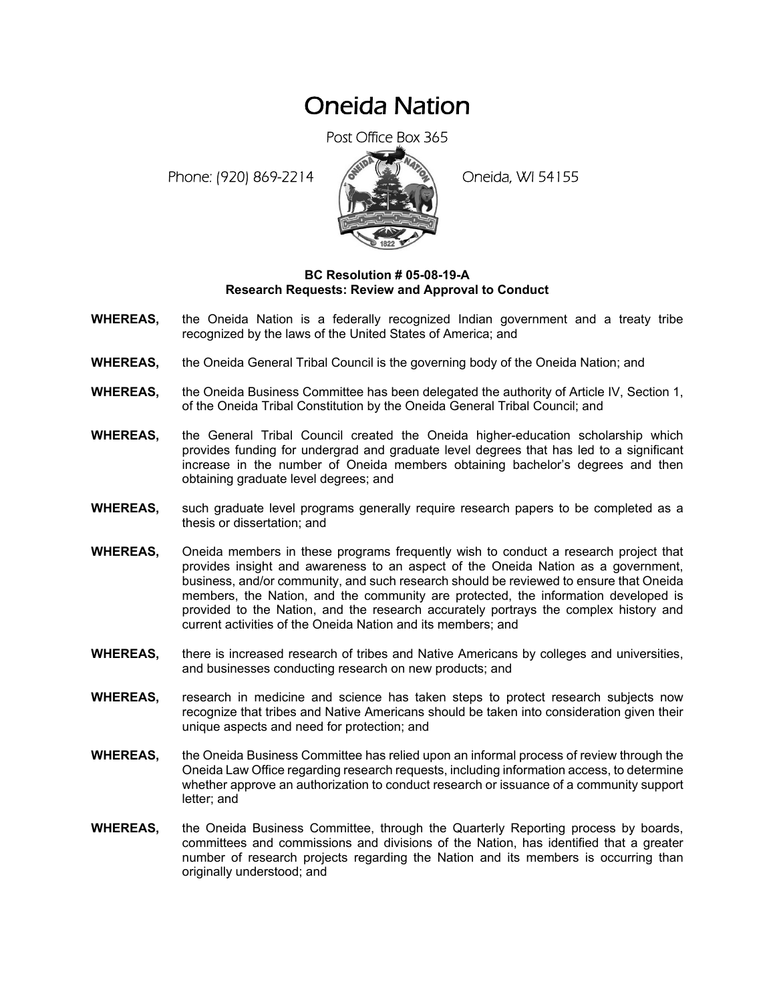## Oneida Nation

Post Office Box 365

Phone: (920) 869-2214 (8 22 3) Oneida, WI 54155



## **BC Resolution # 05-08-19-A Research Requests: Review and Approval to Conduct**

- **WHEREAS,** the Oneida Nation is a federally recognized Indian government and a treaty tribe recognized by the laws of the United States of America; and
- **WHEREAS,** the Oneida General Tribal Council is the governing body of the Oneida Nation; and
- **WHEREAS,** the Oneida Business Committee has been delegated the authority of Article IV, Section 1, of the Oneida Tribal Constitution by the Oneida General Tribal Council; and
- **WHEREAS,** the General Tribal Council created the Oneida higher-education scholarship which provides funding for undergrad and graduate level degrees that has led to a significant increase in the number of Oneida members obtaining bachelor's degrees and then obtaining graduate level degrees; and
- **WHEREAS,** such graduate level programs generally require research papers to be completed as a thesis or dissertation; and
- **WHEREAS,** Oneida members in these programs frequently wish to conduct a research project that provides insight and awareness to an aspect of the Oneida Nation as a government, business, and/or community, and such research should be reviewed to ensure that Oneida members, the Nation, and the community are protected, the information developed is provided to the Nation, and the research accurately portrays the complex history and current activities of the Oneida Nation and its members; and
- **WHEREAS,** there is increased research of tribes and Native Americans by colleges and universities, and businesses conducting research on new products; and
- **WHEREAS,** research in medicine and science has taken steps to protect research subjects now recognize that tribes and Native Americans should be taken into consideration given their unique aspects and need for protection; and
- **WHEREAS,** the Oneida Business Committee has relied upon an informal process of review through the Oneida Law Office regarding research requests, including information access, to determine whether approve an authorization to conduct research or issuance of a community support letter; and
- **WHEREAS,** the Oneida Business Committee, through the Quarterly Reporting process by boards, committees and commissions and divisions of the Nation, has identified that a greater number of research projects regarding the Nation and its members is occurring than originally understood; and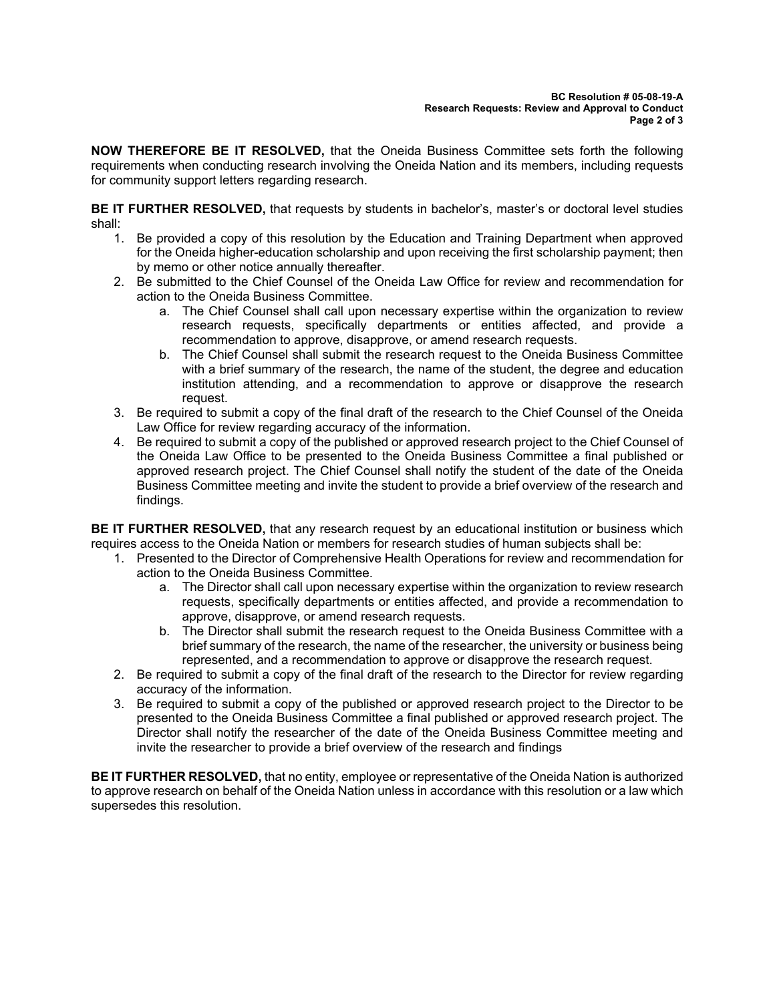**NOW THEREFORE BE IT RESOLVED,** that the Oneida Business Committee sets forth the following requirements when conducting research involving the Oneida Nation and its members, including requests for community support letters regarding research.

**BE IT FURTHER RESOLVED,** that requests by students in bachelor's, master's or doctoral level studies shall:

- 1. Be provided a copy of this resolution by the Education and Training Department when approved for the Oneida higher-education scholarship and upon receiving the first scholarship payment; then by memo or other notice annually thereafter.
- 2. Be submitted to the Chief Counsel of the Oneida Law Office for review and recommendation for action to the Oneida Business Committee.
	- a. The Chief Counsel shall call upon necessary expertise within the organization to review research requests, specifically departments or entities affected, and provide a recommendation to approve, disapprove, or amend research requests.
	- b. The Chief Counsel shall submit the research request to the Oneida Business Committee with a brief summary of the research, the name of the student, the degree and education institution attending, and a recommendation to approve or disapprove the research request.
- 3. Be required to submit a copy of the final draft of the research to the Chief Counsel of the Oneida Law Office for review regarding accuracy of the information.
- 4. Be required to submit a copy of the published or approved research project to the Chief Counsel of the Oneida Law Office to be presented to the Oneida Business Committee a final published or approved research project. The Chief Counsel shall notify the student of the date of the Oneida Business Committee meeting and invite the student to provide a brief overview of the research and findings.

**BE IT FURTHER RESOLVED,** that any research request by an educational institution or business which requires access to the Oneida Nation or members for research studies of human subjects shall be:

- 1. Presented to the Director of Comprehensive Health Operations for review and recommendation for action to the Oneida Business Committee.
	- a. The Director shall call upon necessary expertise within the organization to review research requests, specifically departments or entities affected, and provide a recommendation to approve, disapprove, or amend research requests.
	- b. The Director shall submit the research request to the Oneida Business Committee with a brief summary of the research, the name of the researcher, the university or business being represented, and a recommendation to approve or disapprove the research request.
- 2. Be required to submit a copy of the final draft of the research to the Director for review regarding accuracy of the information.
- 3. Be required to submit a copy of the published or approved research project to the Director to be presented to the Oneida Business Committee a final published or approved research project. The Director shall notify the researcher of the date of the Oneida Business Committee meeting and invite the researcher to provide a brief overview of the research and findings

**BE IT FURTHER RESOLVED,** that no entity, employee or representative of the Oneida Nation is authorized to approve research on behalf of the Oneida Nation unless in accordance with this resolution or a law which supersedes this resolution.